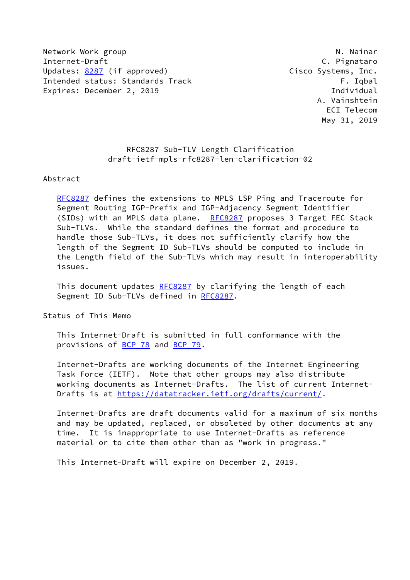Network Work group Network Alexander Network Alexander Museum N. Nainar Internet-Draft C. Pignataro Updates: [8287](https://datatracker.ietf.org/doc/pdf/rfc8287) (if approved) Cisco Systems, Inc. Intended status: Standards Track F. Indian F. Iqbal Expires: December 2, 2019 **Individual** 

 A. Vainshtein ECI Telecom May 31, 2019

 RFC8287 Sub-TLV Length Clarification draft-ietf-mpls-rfc8287-len-clarification-02

## Abstract

 [RFC8287](https://datatracker.ietf.org/doc/pdf/rfc8287) defines the extensions to MPLS LSP Ping and Traceroute for Segment Routing IGP-Prefix and IGP-Adjacency Segment Identifier (SIDs) with an MPLS data plane. [RFC8287](https://datatracker.ietf.org/doc/pdf/rfc8287) proposes 3 Target FEC Stack Sub-TLVs. While the standard defines the format and procedure to handle those Sub-TLVs, it does not sufficiently clarify how the length of the Segment ID Sub-TLVs should be computed to include in the Length field of the Sub-TLVs which may result in interoperability issues.

This document updates [RFC8287](https://datatracker.ietf.org/doc/pdf/rfc8287) by clarifying the length of each Segment ID Sub-TLVs defined in [RFC8287](https://datatracker.ietf.org/doc/pdf/rfc8287).

Status of This Memo

 This Internet-Draft is submitted in full conformance with the provisions of [BCP 78](https://datatracker.ietf.org/doc/pdf/bcp78) and [BCP 79](https://datatracker.ietf.org/doc/pdf/bcp79).

 Internet-Drafts are working documents of the Internet Engineering Task Force (IETF). Note that other groups may also distribute working documents as Internet-Drafts. The list of current Internet- Drafts is at<https://datatracker.ietf.org/drafts/current/>.

 Internet-Drafts are draft documents valid for a maximum of six months and may be updated, replaced, or obsoleted by other documents at any time. It is inappropriate to use Internet-Drafts as reference material or to cite them other than as "work in progress."

This Internet-Draft will expire on December 2, 2019.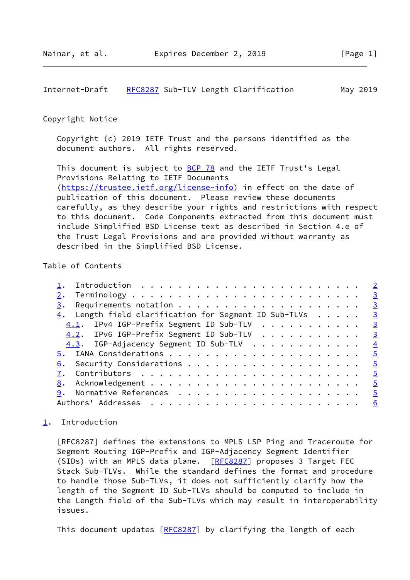<span id="page-1-1"></span>Internet-Draft [RFC8287](https://datatracker.ietf.org/doc/pdf/rfc8287) Sub-TLV Length Clarification May 2019

## Copyright Notice

 Copyright (c) 2019 IETF Trust and the persons identified as the document authors. All rights reserved.

This document is subject to **[BCP 78](https://datatracker.ietf.org/doc/pdf/bcp78)** and the IETF Trust's Legal Provisions Relating to IETF Documents [\(https://trustee.ietf.org/license-info](https://trustee.ietf.org/license-info)) in effect on the date of publication of this document. Please review these documents carefully, as they describe your rights and restrictions with respect to this document. Code Components extracted from this document must include Simplified BSD License text as described in Section 4.e of the Trust Legal Provisions and are provided without warranty as described in the Simplified BSD License.

## Table of Contents

| Introduction $\ldots \ldots \ldots \ldots \ldots \ldots \ldots \ldots \ldots$ |  |
|-------------------------------------------------------------------------------|--|
|                                                                               |  |
| 3.                                                                            |  |
| $\frac{4}{1}$ . Length field clarification for Segment ID Sub-TLVs 3          |  |
| 4.1. IPv4 IGP-Prefix Segment ID Sub-TLV 3                                     |  |
| 4.2. IPv6 IGP-Prefix Segment ID Sub-TLV 3                                     |  |
| 4.3. IGP-Adjacency Segment ID Sub-TLV 4                                       |  |
|                                                                               |  |
|                                                                               |  |
|                                                                               |  |
|                                                                               |  |
|                                                                               |  |
|                                                                               |  |
|                                                                               |  |

## <span id="page-1-0"></span>[1](#page-1-0). Introduction

 [RFC8287] defines the extensions to MPLS LSP Ping and Traceroute for Segment Routing IGP-Prefix and IGP-Adjacency Segment Identifier (SIDs) with an MPLS data plane. [\[RFC8287](https://datatracker.ietf.org/doc/pdf/rfc8287)] proposes 3 Target FEC Stack Sub-TLVs. While the standard defines the format and procedure to handle those Sub-TLVs, it does not sufficiently clarify how the length of the Segment ID Sub-TLVs should be computed to include in the Length field of the Sub-TLVs which may result in interoperability issues.

This document updates [[RFC8287](https://datatracker.ietf.org/doc/pdf/rfc8287)] by clarifying the length of each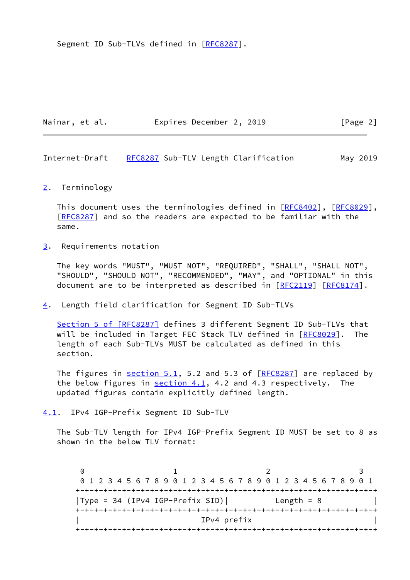Segment ID Sub-TLVs defined in [\[RFC8287](https://datatracker.ietf.org/doc/pdf/rfc8287)].

| Nainar, et al. | Expires December 2, 2019 | [Page 2] |
|----------------|--------------------------|----------|
|                |                          |          |

<span id="page-2-1"></span>Internet-Draft [RFC8287](https://datatracker.ietf.org/doc/pdf/rfc8287) Sub-TLV Length Clarification May 2019

<span id="page-2-0"></span>[2](#page-2-0). Terminology

This document uses the terminologies defined in [\[RFC8402](https://datatracker.ietf.org/doc/pdf/rfc8402)], [[RFC8029\]](https://datatracker.ietf.org/doc/pdf/rfc8029), [\[RFC8287](https://datatracker.ietf.org/doc/pdf/rfc8287)] and so the readers are expected to be familiar with the same.

<span id="page-2-2"></span>[3](#page-2-2). Requirements notation

 The key words "MUST", "MUST NOT", "REQUIRED", "SHALL", "SHALL NOT", "SHOULD", "SHOULD NOT", "RECOMMENDED", "MAY", and "OPTIONAL" in this document are to be interpreted as described in [\[RFC2119](https://datatracker.ietf.org/doc/pdf/rfc2119)] [\[RFC8174](https://datatracker.ietf.org/doc/pdf/rfc8174)].

<span id="page-2-3"></span>[4](#page-2-3). Length field clarification for Segment ID Sub-TLVs

Section [5 of \[RFC8287\]](https://datatracker.ietf.org/doc/pdf/rfc8287#section-5) defines 3 different Segment ID Sub-TLVs that will be included in Target FEC Stack TLV defined in [\[RFC8029](https://datatracker.ietf.org/doc/pdf/rfc8029)]. The length of each Sub-TLVs MUST be calculated as defined in this section.

The figures in  $section 5.1$ , 5.2 and 5.3 of  $[REC8287]$  are replaced by the below figures in  $section 4.1$ , 4.2 and 4.3 respectively. The updated figures contain explicitly defined length.

<span id="page-2-4"></span>[4.1](#page-2-4). IPv4 IGP-Prefix Segment ID Sub-TLV

 The Sub-TLV length for IPv4 IGP-Prefix Segment ID MUST be set to 8 as shown in the below TLV format:

 $0$  1 2 3 0 1 2 3 4 5 6 7 8 9 0 1 2 3 4 5 6 7 8 9 0 1 2 3 4 5 6 7 8 9 0 1 +-+-+-+-+-+-+-+-+-+-+-+-+-+-+-+-+-+-+-+-+-+-+-+-+-+-+-+-+-+-+-+-+ |Type =  $34$  (IPv4 IGP-Prefix SID)| Length =  $8$  +-+-+-+-+-+-+-+-+-+-+-+-+-+-+-+-+-+-+-+-+-+-+-+-+-+-+-+-+-+-+-+-+ | IPv4 prefix | +-+-+-+-+-+-+-+-+-+-+-+-+-+-+-+-+-+-+-+-+-+-+-+-+-+-+-+-+-+-+-+-+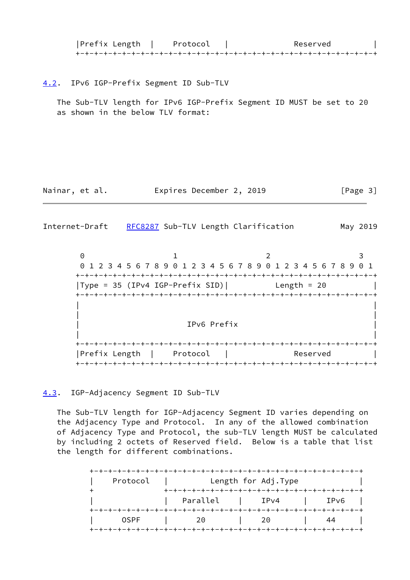| Prefix Length | Protocol | Reserved |
|---------------|----------|----------|
|               |          |          |

<span id="page-3-0"></span>[4.2](#page-3-0). IPv6 IGP-Prefix Segment ID Sub-TLV

 The Sub-TLV length for IPv6 IGP-Prefix Segment ID MUST be set to 20 as shown in the below TLV format:

Nainar, et al. **Expires December 2, 2019** [Page 3]

<span id="page-3-2"></span>Internet-Draft [RFC8287](https://datatracker.ietf.org/doc/pdf/rfc8287) Sub-TLV Length Clarification May 2019

 $0$  1 2 3 0 1 2 3 4 5 6 7 8 9 0 1 2 3 4 5 6 7 8 9 0 1 2 3 4 5 6 7 8 9 0 1 +-+-+-+-+-+-+-+-+-+-+-+-+-+-+-+-+-+-+-+-+-+-+-+-+-+-+-+-+-+-+-+-+  $|Type = 35 (IPv4 IGP-Prefix SID)|$  Length = 20 +-+-+-+-+-+-+-+-+-+-+-+-+-+-+-+-+-+-+-+-+-+-+-+-+-+-+-+-+-+-+-+-+ | | | | | IPv6 Prefix | | | +-+-+-+-+-+-+-+-+-+-+-+-+-+-+-+-+-+-+-+-+-+-+-+-+-+-+-+-+-+-+-+-+ |Prefix Length | Protocol | Reserved | +-+-+-+-+-+-+-+-+-+-+-+-+-+-+-+-+-+-+-+-+-+-+-+-+-+-+-+-+-+-+-+-+

<span id="page-3-1"></span>[4.3](#page-3-1). IGP-Adjacency Segment ID Sub-TLV

 The Sub-TLV length for IGP-Adjacency Segment ID varies depending on the Adjacency Type and Protocol. In any of the allowed combination of Adjacency Type and Protocol, the sub-TLV length MUST be calculated by including 2 octets of Reserved field. Below is a table that list the length for different combinations.

| Protocol    |          | Length for Adj. Type |      |
|-------------|----------|----------------------|------|
|             | Parallel | $ $ IPv4             | IPv6 |
| <b>OSPF</b> | 20       | 20                   | 44   |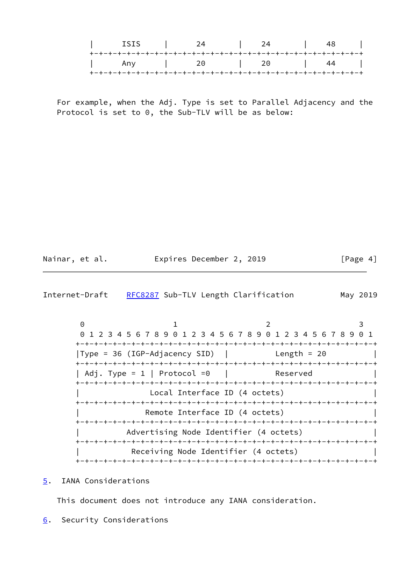|  | ISIS I |                   | $24$ |    |
|--|--------|-------------------|------|----|
|  |        |                   |      |    |
|  |        | Any   20   20   4 |      | 44 |
|  |        |                   |      |    |

 For example, when the Adj. Type is set to Parallel Adjacency and the Protocol is set to 0, the Sub-TLV will be as below:

| Nainar, et al.<br>Expires December 2, 2019 | [Page 4] |
|--------------------------------------------|----------|
|--------------------------------------------|----------|

<span id="page-4-1"></span>

| Internet-Draft |  |  | RFC8287 Sub-TLV Length Clarification | May 2019 |  |
|----------------|--|--|--------------------------------------|----------|--|
|----------------|--|--|--------------------------------------|----------|--|

 $0$  1 2 3 0 1 2 3 4 5 6 7 8 9 0 1 2 3 4 5 6 7 8 9 0 1 2 3 4 5 6 7 8 9 0 1 +-+-+-+-+-+-+-+-+-+-+-+-+-+-+-+-+-+-+-+-+-+-+-+-+-+-+-+-+-+-+-+-+ |Type = 36 (IGP-Adjacency SID) | Length = 20 +-+-+-+-+-+-+-+-+-+-+-+-+-+-+-+-+-+-+-+-+-+-+-+-+-+-+-+-+-+-+-+-+ | Adj. Type = 1 | Protocol =0 | Reserved +-+-+-+-+-+-+-+-+-+-+-+-+-+-+-+-+-+-+-+-+-+-+-+-+-+-+-+-+-+-+-+-+ Local Interface ID (4 octets) +-+-+-+-+-+-+-+-+-+-+-+-+-+-+-+-+-+-+-+-+-+-+-+-+-+-+-+-+-+-+-+-+ Remote Interface ID (4 octets) +-+-+-+-+-+-+-+-+-+-+-+-+-+-+-+-+-+-+-+-+-+-+-+-+-+-+-+-+-+-+-+-+ Advertising Node Identifier (4 octets) +-+-+-+-+-+-+-+-+-+-+-+-+-+-+-+-+-+-+-+-+-+-+-+-+-+-+-+-+-+-+-+-+ Receiving Node Identifier (4 octets) +-+-+-+-+-+-+-+-+-+-+-+-+-+-+-+-+-+-+-+-+-+-+-+-+-+-+-+-+-+-+-+-+

<span id="page-4-0"></span>[5](#page-4-0). IANA Considerations

This document does not introduce any IANA consideration.

<span id="page-4-2"></span>[6](#page-4-2). Security Considerations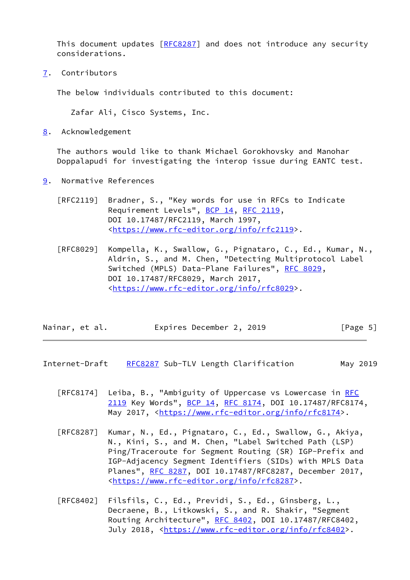This document updates [[RFC8287](https://datatracker.ietf.org/doc/pdf/rfc8287)] and does not introduce any security considerations.

<span id="page-5-0"></span>[7](#page-5-0). Contributors

The below individuals contributed to this document:

Zafar Ali, Cisco Systems, Inc.

<span id="page-5-1"></span>[8](#page-5-1). Acknowledgement

 The authors would like to thank Michael Gorokhovsky and Manohar Doppalapudi for investigating the interop issue during EANTC test.

- <span id="page-5-2"></span>[9](#page-5-2). Normative References
	- [RFC2119] Bradner, S., "Key words for use in RFCs to Indicate Requirement Levels", [BCP 14](https://datatracker.ietf.org/doc/pdf/bcp14), [RFC 2119](https://datatracker.ietf.org/doc/pdf/rfc2119), DOI 10.17487/RFC2119, March 1997, <[https://www.rfc-editor.org/info/rfc2119>](https://www.rfc-editor.org/info/rfc2119).
	- [RFC8029] Kompella, K., Swallow, G., Pignataro, C., Ed., Kumar, N., Aldrin, S., and M. Chen, "Detecting Multiprotocol Label Switched (MPLS) Data-Plane Failures", [RFC 8029](https://datatracker.ietf.org/doc/pdf/rfc8029), DOI 10.17487/RFC8029, March 2017, <[https://www.rfc-editor.org/info/rfc8029>](https://www.rfc-editor.org/info/rfc8029).

| Expires December 2, 2019<br>Nainar, et al. | [Page 5] |
|--------------------------------------------|----------|
|--------------------------------------------|----------|

- <span id="page-5-3"></span>Internet-Draft [RFC8287](https://datatracker.ietf.org/doc/pdf/rfc8287) Sub-TLV Length Clarification May 2019
	- [RFC8174] Leiba, B., "Ambiguity of Uppercase vs Lowercase in [RFC](https://datatracker.ietf.org/doc/pdf/rfc2119) [2119](https://datatracker.ietf.org/doc/pdf/rfc2119) Key Words", [BCP 14](https://datatracker.ietf.org/doc/pdf/bcp14), [RFC 8174,](https://datatracker.ietf.org/doc/pdf/rfc8174) DOI 10.17487/RFC8174, May 2017, [<https://www.rfc-editor.org/info/rfc8174](https://www.rfc-editor.org/info/rfc8174)>.
	- [RFC8287] Kumar, N., Ed., Pignataro, C., Ed., Swallow, G., Akiya, N., Kini, S., and M. Chen, "Label Switched Path (LSP) Ping/Traceroute for Segment Routing (SR) IGP-Prefix and IGP-Adjacency Segment Identifiers (SIDs) with MPLS Data Planes", [RFC 8287,](https://datatracker.ietf.org/doc/pdf/rfc8287) DOI 10.17487/RFC8287, December 2017, <[https://www.rfc-editor.org/info/rfc8287>](https://www.rfc-editor.org/info/rfc8287).
	- [RFC8402] Filsfils, C., Ed., Previdi, S., Ed., Ginsberg, L., Decraene, B., Litkowski, S., and R. Shakir, "Segment Routing Architecture", [RFC 8402](https://datatracker.ietf.org/doc/pdf/rfc8402), DOI 10.17487/RFC8402, July 2018, <<https://www.rfc-editor.org/info/rfc8402>>.